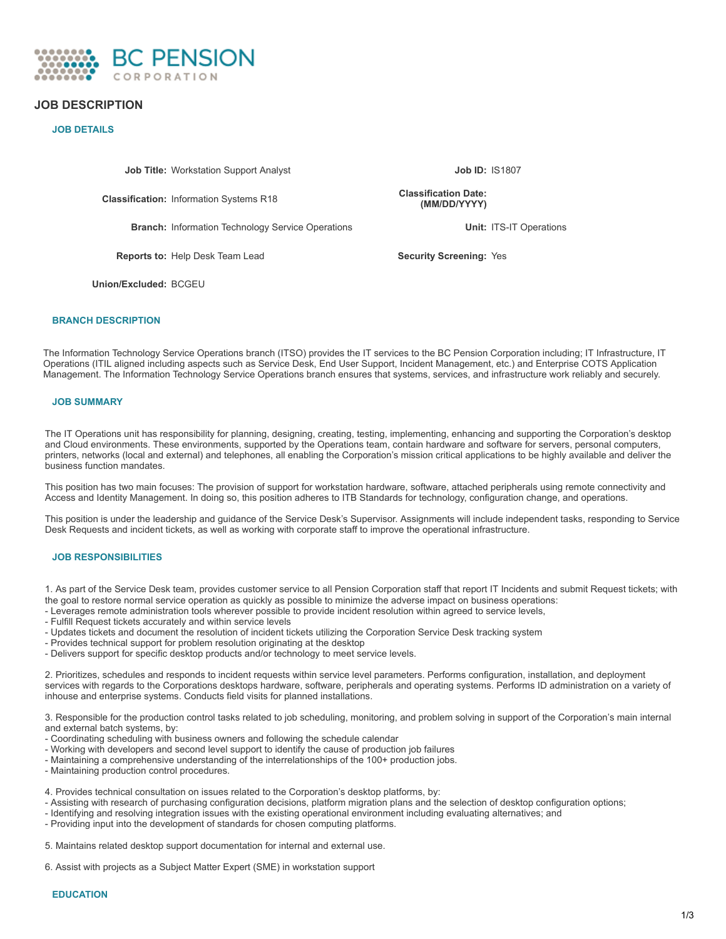

# **JOB DESCRIPTION**

## **JOB DETAILS**

**Job Title:** Workstation Support Analyst **Job ID:** IS1807

**Classification:** Information Systems R18 **Classification Date:**

**Branch:** Information Technology Service Operations **Unit:** ITS-IT Operations

**Reports to:** Help Desk Team Lead **Security Screening:** Yes

**(MM/DD/YYYY)**

**Union/Excluded:** BCGEU

### **BRANCH DESCRIPTION**

The Information Technology Service Operations branch (ITSO) provides the IT services to the BC Pension Corporation including; IT Infrastructure, IT Operations (ITIL aligned including aspects such as Service Desk, End User Support, Incident Management, etc.) and Enterprise COTS Application Management. The Information Technology Service Operations branch ensures that systems, services, and infrastructure work reliably and securely.

### **JOB SUMMARY**

The IT Operations unit has responsibility for planning, designing, creating, testing, implementing, enhancing and supporting the Corporation's desktop and Cloud environments. These environments, supported by the Operations team, contain hardware and software for servers, personal computers, printers, networks (local and external) and telephones, all enabling the Corporation's mission critical applications to be highly available and deliver the business function mandates.

This position has two main focuses: The provision of support for workstation hardware, software, attached peripherals using remote connectivity and Access and Identity Management. In doing so, this position adheres to ITB Standards for technology, configuration change, and operations.

This position is under the leadership and guidance of the Service Desk's Supervisor. Assignments will include independent tasks, responding to Service Desk Requests and incident tickets, as well as working with corporate staff to improve the operational infrastructure.

### **JOB RESPONSIBILITIES**

1. As part of the Service Desk team, provides customer service to all Pension Corporation staff that report IT Incidents and submit Request tickets; with the goal to restore normal service operation as quickly as possible to minimize the adverse impact on business operations:

- Leverages remote administration tools wherever possible to provide incident resolution within agreed to service levels,
- Fulfill Request tickets accurately and within service levels
- Updates tickets and document the resolution of incident tickets utilizing the Corporation Service Desk tracking system
- Provides technical support for problem resolution originating at the desktop
- Delivers support for specific desktop products and/or technology to meet service levels.

2. Prioritizes, schedules and responds to incident requests within service level parameters. Performs configuration, installation, and deployment services with regards to the Corporations desktops hardware, software, peripherals and operating systems. Performs ID administration on a variety of inhouse and enterprise systems. Conducts field visits for planned installations.

3. Responsible for the production control tasks related to job scheduling, monitoring, and problem solving in support of the Corporation's main internal and external batch systems, by:

- Coordinating scheduling with business owners and following the schedule calendar
- Working with developers and second level support to identify the cause of production job failures
- Maintaining a comprehensive understanding of the interrelationships of the 100+ production jobs.
- Maintaining production control procedures.

4. Provides technical consultation on issues related to the Corporation's desktop platforms, by:

- Assisting with research of purchasing configuration decisions, platform migration plans and the selection of desktop configuration options;
- Identifying and resolving integration issues with the existing operational environment including evaluating alternatives; and
- Providing input into the development of standards for chosen computing platforms.

5. Maintains related desktop support documentation for internal and external use.

6. Assist with projects as a Subject Matter Expert (SME) in workstation support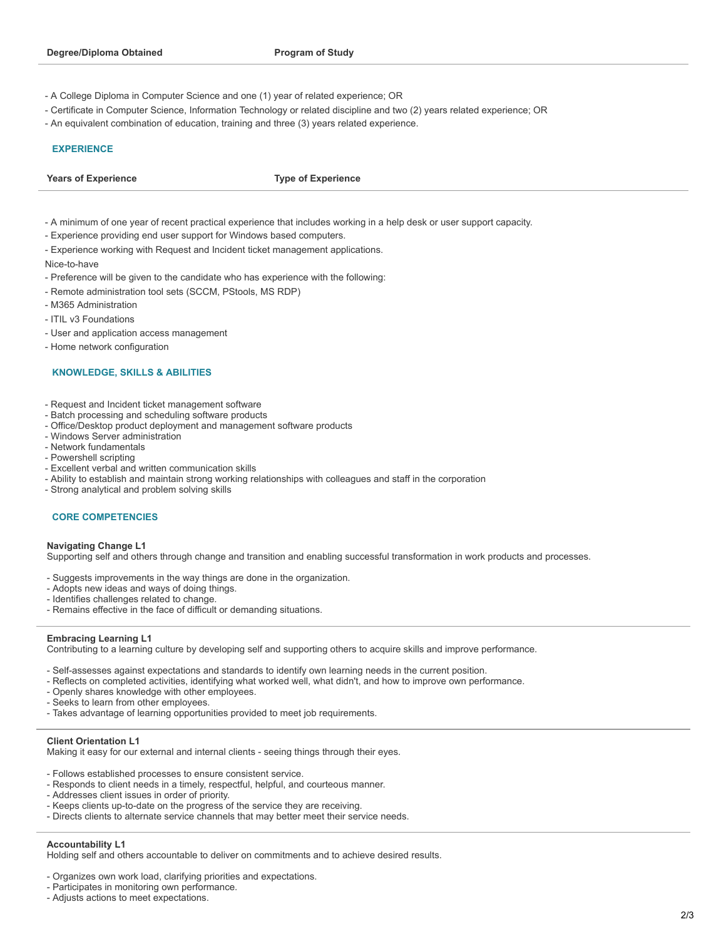- A College Diploma in Computer Science and one (1) year of related experience; OR
- Certificate in Computer Science, Information Technology or related discipline and two (2) years related experience; OR
- An equivalent combination of education, training and three (3) years related experience.

### **EXPERIENCE**

**Years of Experience Type of Experience**

- A minimum of one year of recent practical experience that includes working in a help desk or user support capacity.
- Experience providing end user support for Windows based computers.
- Experience working with Request and Incident ticket management applications.

Nice-to-have

- Preference will be given to the candidate who has experience with the following:
- Remote administration tool sets (SCCM, PStools, MS RDP)
- M365 Administration
- ITIL v3 Foundations
- User and application access management
- Home network configuration

### **KNOWLEDGE, SKILLS & ABILITIES**

- Request and Incident ticket management software
- Batch processing and scheduling software products
- Office/Desktop product deployment and management software products
- Windows Server administration
- Network fundamentals
- Powershell scripting
- Excellent verbal and written communication skills
- Ability to establish and maintain strong working relationships with colleagues and staff in the corporation
- Strong analytical and problem solving skills

### **CORE COMPETENCIES**

#### **Navigating Change L1**

Supporting self and others through change and transition and enabling successful transformation in work products and processes.

- Suggests improvements in the way things are done in the organization.
- Adopts new ideas and ways of doing things.
- Identifies challenges related to change.
- Remains effective in the face of difficult or demanding situations.

#### **Embracing Learning L1**

Contributing to a learning culture by developing self and supporting others to acquire skills and improve performance.

- Self-assesses against expectations and standards to identify own learning needs in the current position.
- Reflects on completed activities, identifying what worked well, what didn't, and how to improve own performance.
- Openly shares knowledge with other employees.
- Seeks to learn from other employees.
- Takes advantage of learning opportunities provided to meet job requirements.

## **Client Orientation L1**

Making it easy for our external and internal clients - seeing things through their eyes.

- Follows established processes to ensure consistent service.

- Responds to client needs in a timely, respectful, helpful, and courteous manner.
- Addresses client issues in order of priority.
- Keeps clients up-to-date on the progress of the service they are receiving.
- Directs clients to alternate service channels that may better meet their service needs.

### **Accountability L1**

Holding self and others accountable to deliver on commitments and to achieve desired results.

- Organizes own work load, clarifying priorities and expectations.
- Participates in monitoring own performance.
- Adjusts actions to meet expectations.